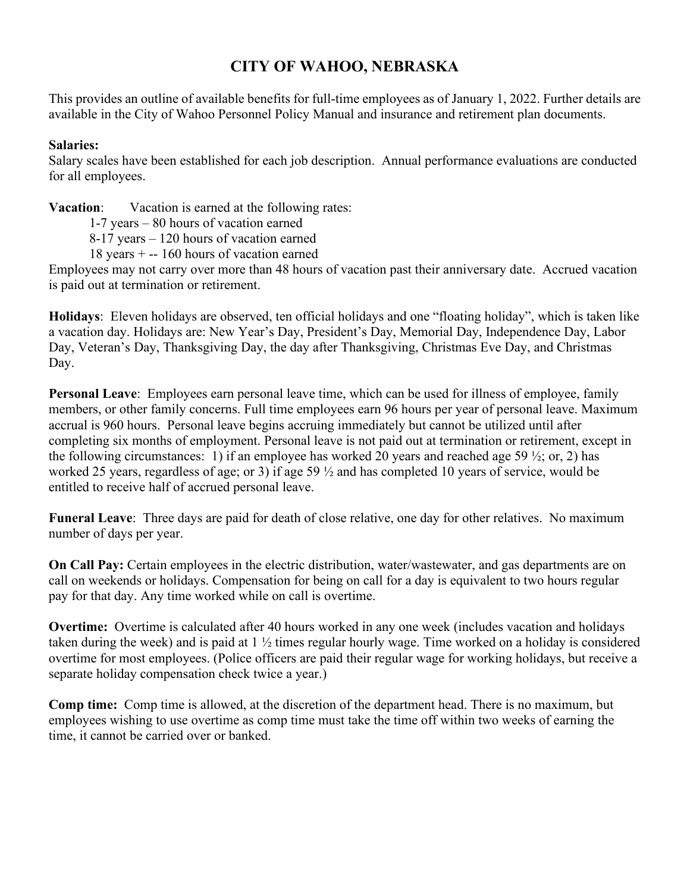# **CITY OF WAHOO, NEBRASKA**

This provides an outline of available benefits for full-time employees as of January 1, 2022. Further details are available in the City of Wahoo Personnel Policy Manual and insurance and retirement plan documents.

# **Salaries:**

Salary scales have been established for each job description. Annual performance evaluations are conducted for all employees.

**Vacation**: Vacation is earned at the following rates:

1-7 years – 80 hours of vacation earned

8-17 years – 120 hours of vacation earned

18 years + -- 160 hours of vacation earned

Employees may not carry over more than 48 hours of vacation past their anniversary date. Accrued vacation is paid out at termination or retirement.

**Holidays**: Eleven holidays are observed, ten official holidays and one "floating holiday", which is taken like a vacation day. Holidays are: New Year's Day, President's Day, Memorial Day, Independence Day, Labor Day, Veteran's Day, Thanksgiving Day, the day after Thanksgiving, Christmas Eve Day, and Christmas Day.

**Personal Leave**: Employees earn personal leave time, which can be used for illness of employee, family members, or other family concerns. Full time employees earn 96 hours per year of personal leave. Maximum accrual is 960 hours. Personal leave begins accruing immediately but cannot be utilized until after completing six months of employment. Personal leave is not paid out at termination or retirement, except in the following circumstances: 1) if an employee has worked 20 years and reached age 59  $\frac{1}{2}$ ; or, 2) has worked 25 years, regardless of age; or 3) if age 59 ½ and has completed 10 years of service, would be entitled to receive half of accrued personal leave.

**Funeral Leave**: Three days are paid for death of close relative, one day for other relatives. No maximum number of days per year.

**On Call Pay:** Certain employees in the electric distribution, water/wastewater, and gas departments are on call on weekends or holidays. Compensation for being on call for a day is equivalent to two hours regular pay for that day. Any time worked while on call is overtime.

**Overtime:** Overtime is calculated after 40 hours worked in any one week (includes vacation and holidays taken during the week) and is paid at 1 ½ times regular hourly wage. Time worked on a holiday is considered overtime for most employees. (Police officers are paid their regular wage for working holidays, but receive a separate holiday compensation check twice a year.)

**Comp time:** Comp time is allowed, at the discretion of the department head. There is no maximum, but employees wishing to use overtime as comp time must take the time off within two weeks of earning the time, it cannot be carried over or banked.